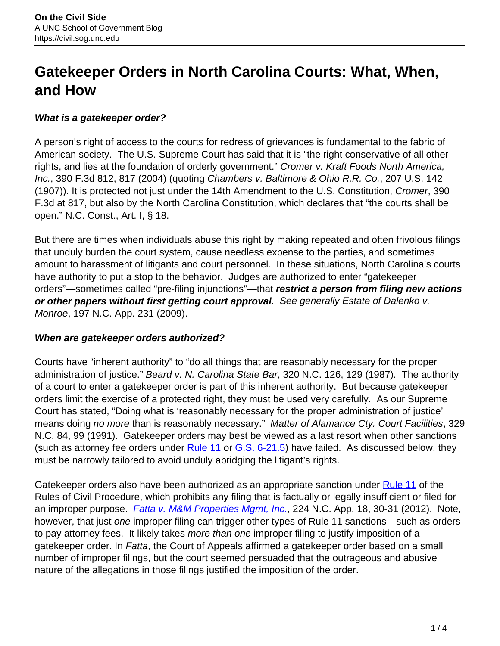# **Gatekeeper Orders in North Carolina Courts: What, When, and How**

## **What is a gatekeeper order?**

A person's right of access to the courts for redress of grievances is fundamental to the fabric of American society. The U.S. Supreme Court has said that it is "the right conservative of all other rights, and lies at the foundation of orderly government." Cromer v. Kraft Foods North America, Inc., 390 F.3d 812, 817 (2004) (quoting Chambers v. Baltimore & Ohio R.R. Co., 207 U.S. 142 (1907)). It is protected not just under the 14th Amendment to the U.S. Constitution, Cromer, 390 F.3d at 817, but also by the North Carolina Constitution, which declares that "the courts shall be open." N.C. Const., Art. I, § 18.

But there are times when individuals abuse this right by making repeated and often frivolous filings that unduly burden the court system, cause needless expense to the parties, and sometimes amount to harassment of litigants and court personnel. In these situations, North Carolina's courts have authority to put a stop to the behavior. Judges are authorized to enter "gatekeeper orders"—sometimes called "pre-filing injunctions"—that **restrict a person from filing new actions or other papers without first getting court approval**. See generally Estate of Dalenko v. Monroe, 197 N.C. App. 231 (2009).

## **When are gatekeeper orders authorized?**

Courts have "inherent authority" to "do all things that are reasonably necessary for the proper administration of justice." Beard v. N. Carolina State Bar, 320 N.C. 126, 129 (1987). The authority of a court to enter a gatekeeper order is part of this inherent authority. But because gatekeeper orders limit the exercise of a protected right, they must be used very carefully. As our Supreme Court has stated, "Doing what is 'reasonably necessary for the proper administration of justice' means doing no more than is reasonably necessary." Matter of Alamance Cty. Court Facilities, 329 N.C. 84, 99 (1991). Gatekeeper orders may best be viewed as a last resort when other sanctions (such as attorney fee orders under  $Rule 11$  or  $G.S. 6-21.5$ ) have failed. As discussed below, they must be narrowly tailored to avoid unduly abridging the litigant's rights.

Gatekeeper orders also have been authorized as an appropriate sanction under Rule 11 of the Rules of Civil Procedure, which prohibits any filing that is factually or legally insufficient or filed for an improper purpose. *Fatta v. M&M Properties Mgmt, Inc.*, 224 N.C. App. 18, 30-31 (2012). Note, however, that just one improper filing can trigger other types of Rule 11 sanctions—such as orders to pay attorney fees. It likely takes more than one improper filing to justify imposition of a gatekeeper order. In Fatta, the Court of Appeals affirmed a gatekeeper order based on a small number of improper filings, but the court seemed persuaded that the outrageous and abusive nature of the allegations in those filings justified the imposition of the order.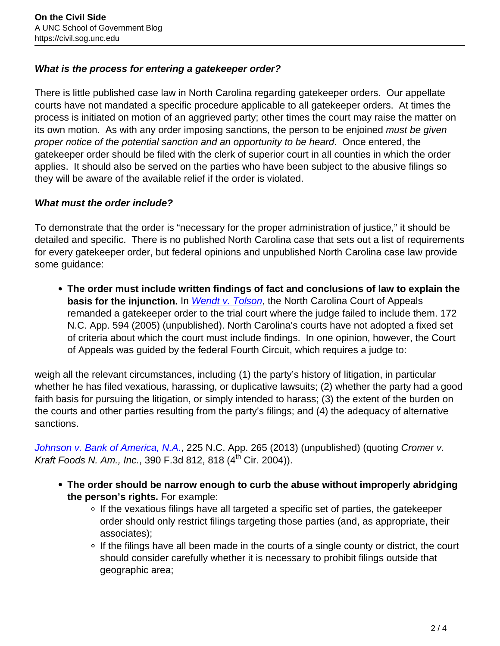## **What is the process for entering a gatekeeper order?**

There is little published case law in North Carolina regarding gatekeeper orders. Our appellate courts have not mandated a specific procedure applicable to all gatekeeper orders. At times the process is initiated on motion of an aggrieved party; other times the court may raise the matter on its own motion. As with any order imposing sanctions, the person to be enjoined must be given proper notice of the potential sanction and an opportunity to be heard. Once entered, the gatekeeper order should be filed with the clerk of superior court in all counties in which the order applies. It should also be served on the parties who have been subject to the abusive filings so they will be aware of the available relief if the order is violated.

## **What must the order include?**

To demonstrate that the order is "necessary for the proper administration of justice," it should be detailed and specific. There is no published North Carolina case that sets out a list of requirements for every gatekeeper order, but federal opinions and unpublished North Carolina case law provide some guidance:

**The order must include written findings of fact and conclusions of law to explain the basis for the injunction.** In *Wendt v. Tolson*, the North Carolina Court of Appeals remanded a gatekeeper order to the trial court where the judge failed to include them. 172 N.C. App. 594 (2005) (unpublished). North Carolina's courts have not adopted a fixed set of criteria about which the court must include findings. In one opinion, however, the Court of Appeals was guided by the federal Fourth Circuit, which requires a judge to:

weigh all the relevant circumstances, including (1) the party's history of litigation, in particular whether he has filed vexatious, harassing, or duplicative lawsuits; (2) whether the party had a good faith basis for pursuing the litigation, or simply intended to harass; (3) the extent of the burden on the courts and other parties resulting from the party's filings; and (4) the adequacy of alternative sanctions.

Johnson v. Bank of America, N.A., 225 N.C. App. 265 (2013) (unpublished) (quoting Cromer v. Kraft Foods N. Am., Inc., 390 F.3d 812, 818 (4<sup>th</sup> Cir. 2004)).

- **The order should be narrow enough to curb the abuse without improperly abridging the person's rights.** For example:
	- ∘ If the vexatious filings have all targeted a specific set of parties, the gatekeeper order should only restrict filings targeting those parties (and, as appropriate, their associates);
	- o If the filings have all been made in the courts of a single county or district, the court should consider carefully whether it is necessary to prohibit filings outside that geographic area;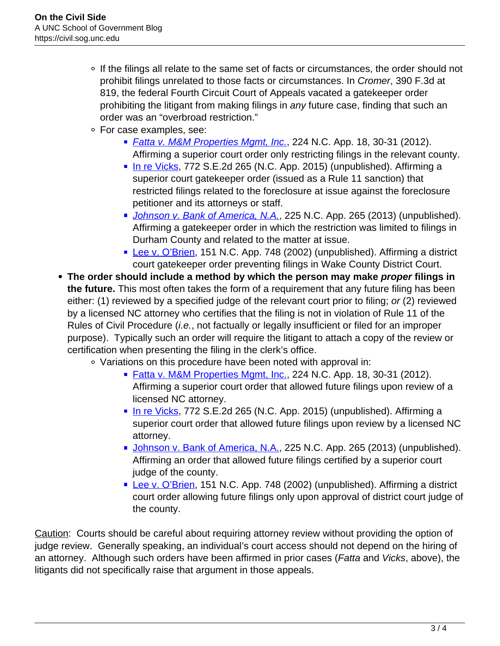- If the filings all relate to the same set of facts or circumstances, the order should not prohibit filings unrelated to those facts or circumstances. In Cromer, 390 F.3d at 819, the federal Fourth Circuit Court of Appeals vacated a gatekeeper order prohibiting the litigant from making filings in any future case, finding that such an order was an "overbroad restriction."
- For case examples, see:
	- *Fatta v. M&M Properties Mgmt, Inc.*, 224 N.C. App. 18, 30-31 (2012). Affirming a superior court order only restricting filings in the relevant county.
	- In re Vicks, 772 S.E.2d 265 (N.C. App. 2015) (unpublished). Affirming a superior court gatekeeper order (issued as a Rule 11 sanction) that restricted filings related to the foreclosure at issue against the foreclosure petitioner and its attorneys or staff.
	- Johnson v. Bank of America, N.A., 225 N.C. App. 265 (2013) (unpublished). Affirming a gatekeeper order in which the restriction was limited to filings in Durham County and related to the matter at issue.
	- **Lee v. O'Brien, 151 N.C. App. 748 (2002) (unpublished). Affirming a district** court gatekeeper order preventing filings in Wake County District Court.
- **The order should include a method by which the person may make proper filings in the future.** This most often takes the form of a requirement that any future filing has been either: (1) reviewed by a specified judge of the relevant court prior to filing; or (2) reviewed by a licensed NC attorney who certifies that the filing is not in violation of Rule 11 of the Rules of Civil Procedure (*i.e.*, not factually or legally insufficient or filed for an improper purpose). Typically such an order will require the litigant to attach a copy of the review or certification when presenting the filing in the clerk's office.
	- Variations on this procedure have been noted with approval in:
		- Fatta v. M&M Properties Mgmt, Inc., 224 N.C. App. 18, 30-31 (2012). Affirming a superior court order that allowed future filings upon review of a licensed NC attorney.
		- In re Vicks, 772 S.E.2d 265 (N.C. App. 2015) (unpublished). Affirming a superior court order that allowed future filings upon review by a licensed NC attorney.
		- Johnson v. Bank of America, N.A., 225 N.C. App. 265 (2013) (unpublished). Affirming an order that allowed future filings certified by a superior court judge of the county.
		- **Lee v. O'Brien, 151 N.C. App. 748 (2002) (unpublished). Affirming a district** court order allowing future filings only upon approval of district court judge of the county.

Caution: Courts should be careful about requiring attorney review without providing the option of judge review. Generally speaking, an individual's court access should not depend on the hiring of an attorney. Although such orders have been affirmed in prior cases (Fatta and Vicks, above), the litigants did not specifically raise that argument in those appeals.